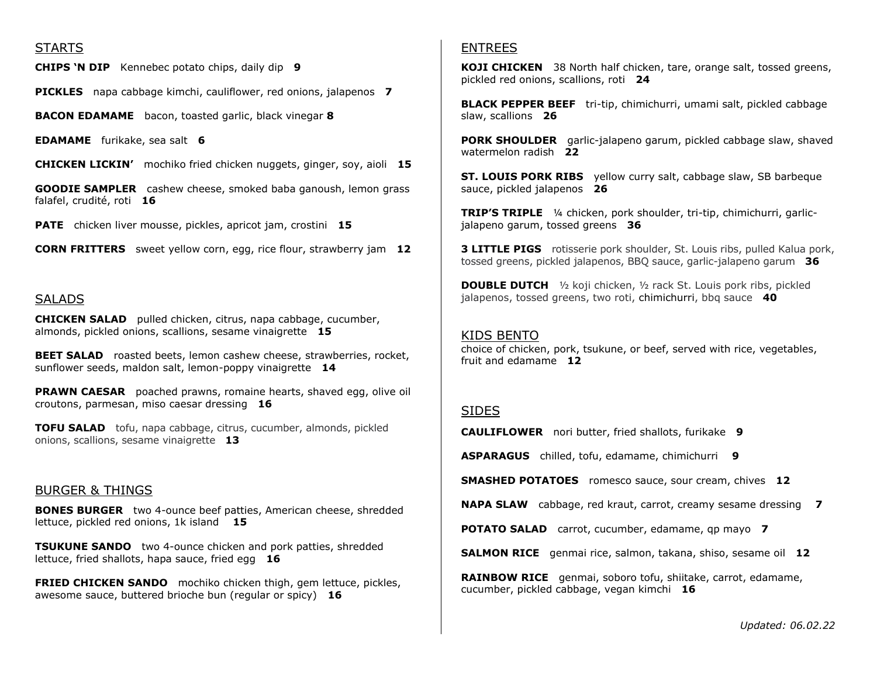### STARTS

**CHIPS 'N DIP** Kennebec potato chips, daily dip **9**

**PICKLES** napa cabbage kimchi, cauliflower, red onions, jalapenos **7** 

**BACON EDAMAME** bacon, toasted garlic, black vinegar **8** 

**EDAMAME** furikake, sea salt **6** 

**CHICKEN LICKIN'** mochiko fried chicken nuggets, ginger, soy, aioli **15**

**GOODIE SAMPLER** cashew cheese, smoked baba ganoush, lemon grass falafel, crudité, roti **16**

**PATE** chicken liver mousse, pickles, apricot jam, crostini **15** 

**CORN FRITTERS** sweet yellow corn, egg, rice flour, strawberry jam **12**

#### SALADS

**CHICKEN SALAD** pulled chicken, citrus, napa cabbage, cucumber, almonds, pickled onions, scallions, sesame vinaigrette **15** 

**BEET SALAD** roasted beets, lemon cashew cheese, strawberries, rocket, sunflower seeds, maldon salt, lemon-poppy vinaigrette **14** 

**PRAWN CAESAR** poached prawns, romaine hearts, shaved egg, olive oil croutons, parmesan, miso caesar dressing **16** 

**TOFU SALAD** tofu, napa cabbage, citrus, cucumber, almonds, pickled onions, scallions, sesame vinaigrette **13**

#### BURGER & THINGS

**BONES BURGER** two 4-ounce beef patties, American cheese, shredded lettuce, pickled red onions, 1k island **15** 

**TSUKUNE SANDO** two 4-ounce chicken and pork patties, shredded lettuce, fried shallots, hapa sauce, fried egg **16** 

**FRIED CHICKEN SANDO** mochiko chicken thigh, gem lettuce, pickles, awesome sauce, buttered brioche bun (regular or spicy) **16** 

### ENTREES

**KOJI CHICKEN** 38 North half chicken, tare, orange salt, tossed greens, pickled red onions, scallions, roti **24** 

**BLACK PEPPER BEEF** tri-tip, chimichurri, umami salt, pickled cabbage slaw, scallions **26** 

**PORK SHOULDER** garlic-jalapeno garum, pickled cabbage slaw, shaved watermelon radish **22** 

**ST. LOUIS PORK RIBS** yellow curry salt, cabbage slaw, SB barbeque sauce, pickled jalapenos **26** 

**TRIP'S TRIPLE** ¼ chicken, pork shoulder, tri-tip, chimichurri, garlicjalapeno garum, tossed greens **36** 

**3 LITTLE PIGS** rotisserie pork shoulder, St. Louis ribs, pulled Kalua pork, tossed greens, pickled jalapenos, BBQ sauce, garlic-jalapeno garum **36**

**DOUBLE DUTCH** ½ koji chicken, ½ rack St. Louis pork ribs, pickled jalapenos, tossed greens, two roti, chimichurri, bbq sauce **40**

### KIDS BENTO

choice of chicken, pork, tsukune, or beef, served with rice, vegetables, fruit and edamame **12**

### SIDES

**CAULIFLOWER** nori butter, fried shallots, furikake **9**

**ASPARAGUS** chilled, tofu, edamame, chimichurri **9**

**SMASHED POTATOES** romesco sauce, sour cream, chives **12** 

**NAPA SLAW** cabbage, red kraut, carrot, creamy sesame dressing **7**

**POTATO SALAD** carrot, cucumber, edamame, qp mayo **7**

**SALMON RICE** genmai rice, salmon, takana, shiso, sesame oil **12** 

**RAINBOW RICE** genmai, soboro tofu, shiitake, carrot, edamame, cucumber, pickled cabbage, vegan kimchi **16** 

*Updated: 06.02.22*